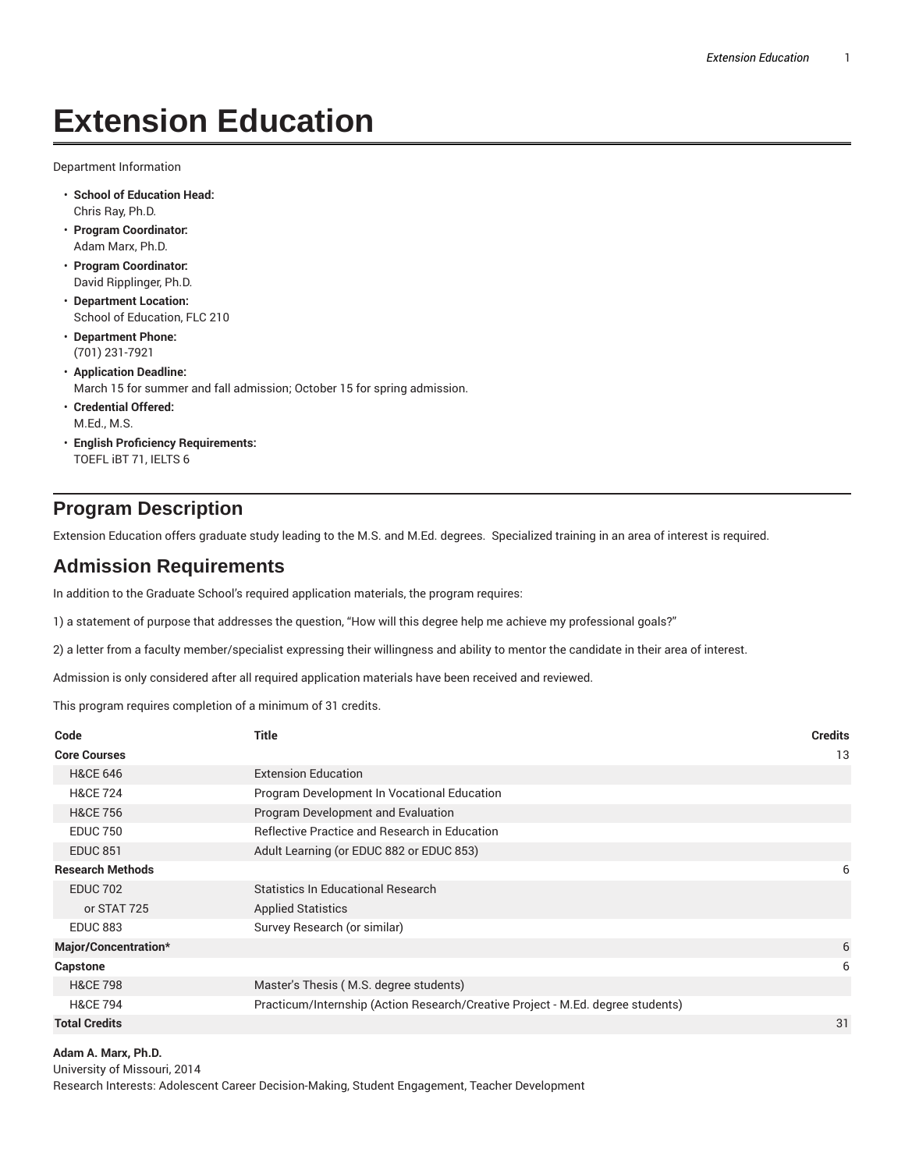## **Extension Education**

Department Information

- **School of Education Head:** Chris Ray, Ph.D.
- **Program Coordinator:** Adam Marx, Ph.D.
- **Program Coordinator:** David Ripplinger, Ph.D.
- **Department Location:** School of Education, FLC 210
- **Department Phone:** (701) 231-7921
- **Application Deadline:** March 15 for summer and fall admission; October 15 for spring admission.
- **Credential Offered:** M.Ed., M.S.
- **English Proficiency Requirements:** TOEFL iBT 71, IELTS 6

## **Program Description**

Extension Education offers graduate study leading to the M.S. and M.Ed. degrees. Specialized training in an area of interest is required.

## **Admission Requirements**

In addition to the Graduate School's required application materials, the program requires:

1) a statement of purpose that addresses the question, "How will this degree help me achieve my professional goals?"

2) a letter from a faculty member/specialist expressing their willingness and ability to mentor the candidate in their area of interest.

Admission is only considered after all required application materials have been received and reviewed.

This program requires completion of a minimum of 31 credits.

| Code                    | <b>Title</b>                                                                    | <b>Credits</b> |
|-------------------------|---------------------------------------------------------------------------------|----------------|
| <b>Core Courses</b>     |                                                                                 | 13             |
| <b>H&amp;CE 646</b>     | <b>Extension Education</b>                                                      |                |
| <b>H&amp;CE 724</b>     | Program Development In Vocational Education                                     |                |
| <b>H&amp;CE 756</b>     | Program Development and Evaluation                                              |                |
| <b>EDUC 750</b>         | Reflective Practice and Research in Education                                   |                |
| <b>EDUC 851</b>         | Adult Learning (or EDUC 882 or EDUC 853)                                        |                |
| <b>Research Methods</b> |                                                                                 | 6              |
| <b>EDUC 702</b>         | <b>Statistics In Educational Research</b>                                       |                |
| or STAT 725             | <b>Applied Statistics</b>                                                       |                |
| <b>EDUC 883</b>         | Survey Research (or similar)                                                    |                |
| Major/Concentration*    |                                                                                 | 6              |
| <b>Capstone</b>         |                                                                                 | 6              |
| <b>H&amp;CE 798</b>     | Master's Thesis (M.S. degree students)                                          |                |
| <b>H&amp;CE 794</b>     | Practicum/Internship (Action Research/Creative Project - M.Ed. degree students) |                |
| <b>Total Credits</b>    |                                                                                 | 31             |

**Adam A. Marx, Ph.D.**

University of Missouri, 2014 Research Interests: Adolescent Career Decision-Making, Student Engagement, Teacher Development